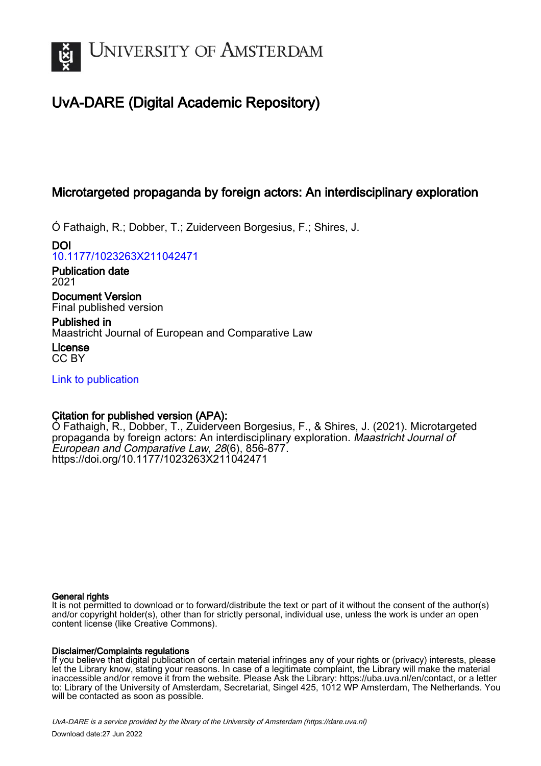

# UvA-DARE (Digital Academic Repository)

## Microtargeted propaganda by foreign actors: An interdisciplinary exploration

Ó Fathaigh, R.; Dobber, T.; Zuiderveen Borgesius, F.; Shires, J.

DOI [10.1177/1023263X211042471](https://doi.org/10.1177/1023263X211042471)

Publication date 2021

Document Version Final published version

Published in Maastricht Journal of European and Comparative Law

License CC BY

[Link to publication](https://dare.uva.nl/personal/pure/en/publications/microtargeted-propaganda-by-foreign-actors-an-interdisciplinary-exploration(ed6a284b-debe-4f6c-b61d-572a373f6f81).html)

## Citation for published version (APA):

Ó Fathaigh, R., Dobber, T., Zuiderveen Borgesius, F., & Shires, J. (2021). Microtargeted propaganda by foreign actors: An interdisciplinary exploration. Maastricht Journal of European and Comparative Law, 28(6), 856-877. <https://doi.org/10.1177/1023263X211042471>

### General rights

It is not permitted to download or to forward/distribute the text or part of it without the consent of the author(s) and/or copyright holder(s), other than for strictly personal, individual use, unless the work is under an open content license (like Creative Commons).

## Disclaimer/Complaints regulations

If you believe that digital publication of certain material infringes any of your rights or (privacy) interests, please let the Library know, stating your reasons. In case of a legitimate complaint, the Library will make the material inaccessible and/or remove it from the website. Please Ask the Library: https://uba.uva.nl/en/contact, or a letter to: Library of the University of Amsterdam, Secretariat, Singel 425, 1012 WP Amsterdam, The Netherlands. You will be contacted as soon as possible.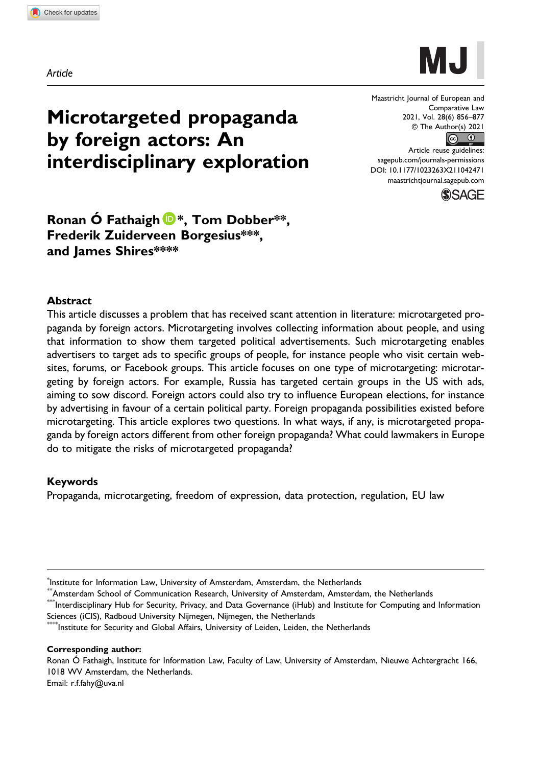

Maastricht Journal of European and Comparative Law 2021, Vol. 28(6) 856–877 © The Author(s) 2021  $\circledcirc$   $\circledcirc$ 

Article reuse guidelines: [sagepub.com/journals-permissions](https://us.sagepub.com/en-us/journals-permissions) [DOI: 10.1177/1023263X211042471](https://doi.org/10.1177/1023263X211042471) [maastrichtjournal.sagepub.com](https://maastrichtjournal.sagepub.com)**SSAGE** 



Microtargeted propaganda

interdisciplinary exploration

by foreign actors: An

#### Abstract

This article discusses a problem that has received scant attention in literature: microtargeted propaganda by foreign actors. Microtargeting involves collecting information about people, and using that information to show them targeted political advertisements. Such microtargeting enables advertisers to target ads to specific groups of people, for instance people who visit certain websites, forums, or Facebook groups. This article focuses on one type of microtargeting: microtargeting by foreign actors. For example, Russia has targeted certain groups in the US with ads, aiming to sow discord. Foreign actors could also try to influence European elections, for instance by advertising in favour of a certain political party. Foreign propaganda possibilities existed before microtargeting. This article explores two questions. In what ways, if any, is microtargeted propaganda by foreign actors different from other foreign propaganda? What could lawmakers in Europe do to mitigate the risks of microtargeted propaganda?

#### Keywords

Propaganda, microtargeting, freedom of expression, data protection, regulation, EU law

 $^{\ast}$ Interdisciplinary Hub for Security, Privacy, and Data Governance (iHub) and Institute for Computing and Information Sciences (iCIS), Radboud University Nijmegen, Nijmegen, the Netherlands

Institute for Security and Global Affairs, University of Leiden, Leiden, the Netherlands

Corresponding author:

Ronan Ó Fathaigh, Institute for Information Law, Faculty of Law, University of Amsterdam, Nieuwe Achtergracht 166, 1018 WV Amsterdam, the Netherlands.

Email: [r.f.fahy@uva.nl](mailto:r.f.fahy@uva.nl)

<sup>\*</sup> Institute for Information Law, University of Amsterdam, Amsterdam, the Netherlands

 $^*$ Amsterdam School of Communication Research, University of Amsterdam, Amsterdam, the Netherlands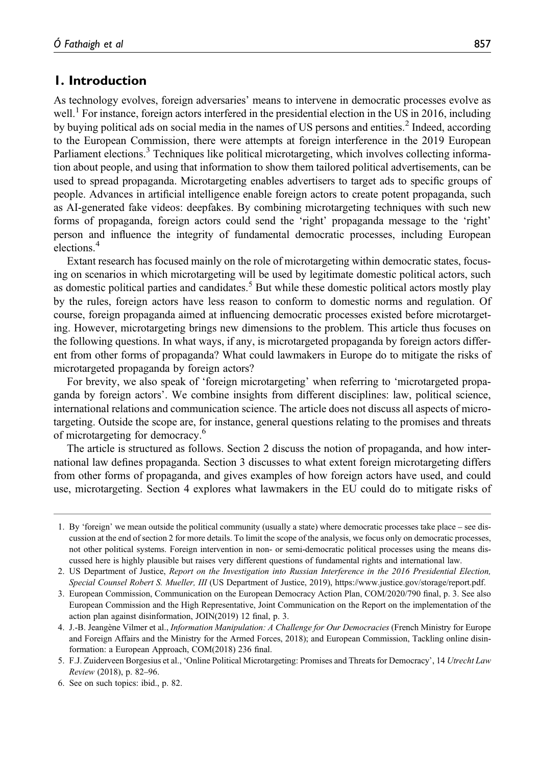## 1. Introduction

As technology evolves, foreign adversaries' means to intervene in democratic processes evolve as well.<sup>1</sup> For instance, foreign actors interfered in the presidential election in the US in 2016, including by buying political ads on social media in the names of US persons and entities.<sup>2</sup> Indeed, according to the European Commission, there were attempts at foreign interference in the 2019 European Parliament elections.<sup>3</sup> Techniques like political microtargeting, which involves collecting information about people, and using that information to show them tailored political advertisements, can be used to spread propaganda. Microtargeting enables advertisers to target ads to specific groups of people. Advances in artificial intelligence enable foreign actors to create potent propaganda, such as AI-generated fake videos: deepfakes. By combining microtargeting techniques with such new forms of propaganda, foreign actors could send the 'right' propaganda message to the 'right' person and influence the integrity of fundamental democratic processes, including European elections.<sup>4</sup>

Extant research has focused mainly on the role of microtargeting within democratic states, focusing on scenarios in which microtargeting will be used by legitimate domestic political actors, such as domestic political parties and candidates.<sup>5</sup> But while these domestic political actors mostly play by the rules, foreign actors have less reason to conform to domestic norms and regulation. Of course, foreign propaganda aimed at influencing democratic processes existed before microtargeting. However, microtargeting brings new dimensions to the problem. This article thus focuses on the following questions. In what ways, if any, is microtargeted propaganda by foreign actors different from other forms of propaganda? What could lawmakers in Europe do to mitigate the risks of microtargeted propaganda by foreign actors?

For brevity, we also speak of 'foreign microtargeting' when referring to 'microtargeted propaganda by foreign actors'. We combine insights from different disciplines: law, political science, international relations and communication science. The article does not discuss all aspects of microtargeting. Outside the scope are, for instance, general questions relating to the promises and threats of microtargeting for democracy.<sup>6</sup>

The article is structured as follows. Section 2 discuss the notion of propaganda, and how international law defines propaganda. Section 3 discusses to what extent foreign microtargeting differs from other forms of propaganda, and gives examples of how foreign actors have used, and could use, microtargeting. Section 4 explores what lawmakers in the EU could do to mitigate risks of

<sup>1.</sup> By 'foreign' we mean outside the political community (usually a state) where democratic processes take place – see discussion at the end of section 2 for more details. To limit the scope of the analysis, we focus only on democratic processes, not other political systems. Foreign intervention in non- or semi-democratic political processes using the means discussed here is highly plausible but raises very different questions of fundamental rights and international law.

<sup>2.</sup> US Department of Justice, Report on the Investigation into Russian Interference in the 2016 Presidential Election, Special Counsel Robert S. Mueller, III (US Department of Justice, 2019), https://www.justice.gov/storage/report.pdf.

<sup>3.</sup> European Commission, Communication on the European Democracy Action Plan, COM/2020/790 final, p. 3. See also European Commission and the High Representative, Joint Communication on the Report on the implementation of the action plan against disinformation, JOIN(2019) 12 final, p. 3.

<sup>4.</sup> J.-B. Jeangène Vilmer et al., *Information Manipulation: A Challenge for Our Democracies* (French Ministry for Europe and Foreign Affairs and the Ministry for the Armed Forces, 2018); and European Commission, Tackling online disinformation: a European Approach, COM(2018) 236 final.

<sup>5.</sup> F.J. Zuiderveen Borgesius et al., 'Online Political Microtargeting: Promises and Threats for Democracy', 14 Utrecht Law Review (2018), p. 82–96.

<sup>6.</sup> See on such topics: ibid., p. 82.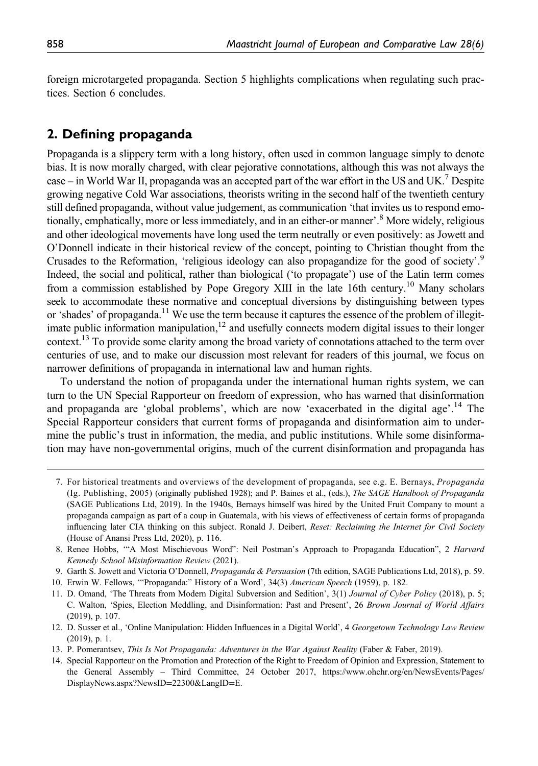foreign microtargeted propaganda. Section 5 highlights complications when regulating such practices. Section 6 concludes.

## 2. Defining propaganda

Propaganda is a slippery term with a long history, often used in common language simply to denote bias. It is now morally charged, with clear pejorative connotations, although this was not always the case – in World War II, propaganda was an accepted part of the war effort in the US and UK.<sup>7</sup> Despite growing negative Cold War associations, theorists writing in the second half of the twentieth century still defined propaganda, without value judgement, as communication 'that invites us to respond emotionally, emphatically, more or less immediately, and in an either-or manner'. <sup>8</sup> More widely, religious and other ideological movements have long used the term neutrally or even positively: as Jowett and O'Donnell indicate in their historical review of the concept, pointing to Christian thought from the Crusades to the Reformation, 'religious ideology can also propagandize for the good of society'.<sup>9</sup> Indeed, the social and political, rather than biological ('to propagate') use of the Latin term comes from a commission established by Pope Gregory XIII in the late 16th century.<sup>10</sup> Many scholars seek to accommodate these normative and conceptual diversions by distinguishing between types or 'shades' of propaganda.<sup>11</sup> We use the term because it captures the essence of the problem of illegitimate public information manipulation, $12$  and usefully connects modern digital issues to their longer context.<sup>13</sup> To provide some clarity among the broad variety of connotations attached to the term over centuries of use, and to make our discussion most relevant for readers of this journal, we focus on narrower definitions of propaganda in international law and human rights.

To understand the notion of propaganda under the international human rights system, we can turn to the UN Special Rapporteur on freedom of expression, who has warned that disinformation and propaganda are 'global problems', which are now 'exacerbated in the digital age'. <sup>14</sup> The Special Rapporteur considers that current forms of propaganda and disinformation aim to undermine the public's trust in information, the media, and public institutions. While some disinformation may have non-governmental origins, much of the current disinformation and propaganda has

9. Garth S. Jowett and Victoria O'Donnell, Propaganda & Persuasion (7th edition, SAGE Publications Ltd, 2018), p. 59.

10. Erwin W. Fellows, '"Propaganda:" History of a Word', 34(3) American Speech (1959), p. 182.

- 11. D. Omand, 'The Threats from Modern Digital Subversion and Sedition', 3(1) Journal of Cyber Policy (2018), p. 5; C. Walton, 'Spies, Election Meddling, and Disinformation: Past and Present', 26 Brown Journal of World Affairs (2019), p. 107.
- 12. D. Susser et al., 'Online Manipulation: Hidden Influences in a Digital World', 4 Georgetown Technology Law Review (2019), p. 1.
- 13. P. Pomerantsev, This Is Not Propaganda: Adventures in the War Against Reality (Faber & Faber, 2019).
- 14. Special Rapporteur on the Promotion and Protection of the Right to Freedom of Opinion and Expression, Statement to the General Assembly – Third Committee, 24 October 2017, [https://www.ohchr.org/en/NewsEvents/Pages/](https://www.ohchr.org/en/NewsEvents/Pages/DisplayNews.aspx?NewsID=22300%26LangID=E) [DisplayNews.aspx?NewsID](https://www.ohchr.org/en/NewsEvents/Pages/DisplayNews.aspx?NewsID=22300%26LangID=E)=22300&LangID=E.

<sup>7.</sup> For historical treatments and overviews of the development of propaganda, see e.g. E. Bernays, Propaganda (Ig. Publishing, 2005) (originally published 1928); and P. Baines et al., (eds.), The SAGE Handbook of Propaganda (SAGE Publications Ltd, 2019). In the 1940s, Bernays himself was hired by the United Fruit Company to mount a propaganda campaign as part of a coup in Guatemala, with his views of effectiveness of certain forms of propaganda influencing later CIA thinking on this subject. Ronald J. Deibert, Reset: Reclaiming the Internet for Civil Society (House of Anansi Press Ltd, 2020), p. 116.

<sup>8.</sup> Renee Hobbs, '"A Most Mischievous Word": Neil Postman's Approach to Propaganda Education", 2 Harvard Kennedy School Misinformation Review (2021).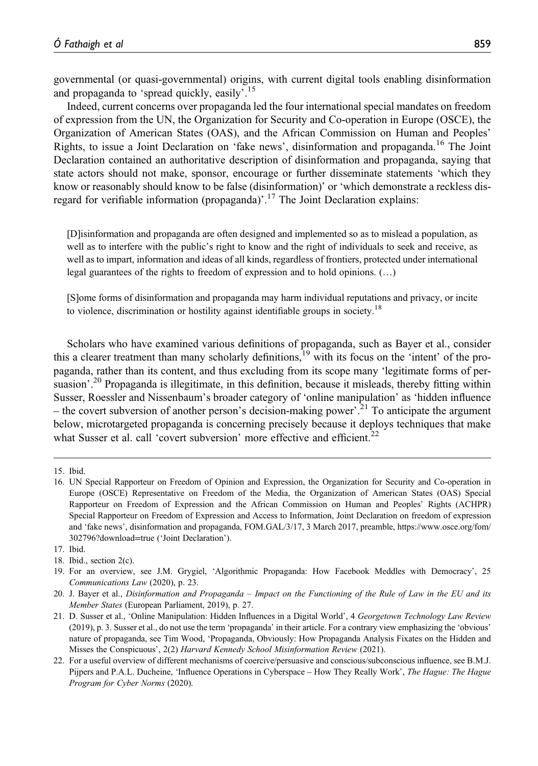governmental (or quasi-governmental) origins, with current digital tools enabling disinformation and propaganda to 'spread quickly, easily'.<sup>15</sup>

Indeed, current concerns over propaganda led the four international special mandates on freedom of expression from the UN, the Organization for Security and Co-operation in Europe (OSCE), the Organization of American States (OAS), and the African Commission on Human and Peoples' Rights, to issue a Joint Declaration on 'fake news', disinformation and propaganda.<sup>16</sup> The Joint Declaration contained an authoritative description of disinformation and propaganda, saying that state actors should not make, sponsor, encourage or further disseminate statements 'which they know or reasonably should know to be false (disinformation)' or 'which demonstrate a reckless disregard for verifiable information (propaganda)'.<sup>17</sup> The Joint Declaration explains:

[D]isinformation and propaganda are often designed and implemented so as to mislead a population, as well as to interfere with the public's right to know and the right of individuals to seek and receive, as well as to impart, information and ideas of all kinds, regardless of frontiers, protected under international legal guarantees of the rights to freedom of expression and to hold opinions. (…)

[S]ome forms of disinformation and propaganda may harm individual reputations and privacy, or incite to violence, discrimination or hostility against identifiable groups in society.<sup>18</sup>

Scholars who have examined various definitions of propaganda, such as Bayer et al., consider this a clearer treatment than many scholarly definitions, $19$  with its focus on the 'intent' of the propaganda, rather than its content, and thus excluding from its scope many 'legitimate forms of persuasion'.<sup>20</sup> Propaganda is illegitimate, in this definition, because it misleads, thereby fitting within Susser, Roessler and Nissenbaum's broader category of 'online manipulation' as 'hidden influence – the covert subversion of another person's decision-making power<sup>'. 21</sup> To anticipate the argument below, microtargeted propaganda is concerning precisely because it deploys techniques that make what Susser et al. call 'covert subversion' more effective and efficient.<sup>22</sup>

18. Ibid., section 2(c).

<sup>15.</sup> Ibid.

<sup>16.</sup> UN Special Rapporteur on Freedom of Opinion and Expression, the Organization for Security and Co-operation in Europe (OSCE) Representative on Freedom of the Media, the Organization of American States (OAS) Special Rapporteur on Freedom of Expression and the African Commission on Human and Peoples' Rights (ACHPR) Special Rapporteur on Freedom of Expression and Access to Information, Joint Declaration on freedom of expression and 'fake news', disinformation and propaganda, FOM.GAL/3/17, 3 March 2017, preamble, [https://www.osce.org/fom/](https://www.osce.org/fom/302796?download=true) [302796?download](https://www.osce.org/fom/302796?download=true)=true ('Joint Declaration').

<sup>17.</sup> Ibid.

<sup>19.</sup> For an overview, see J.M. Grygiel, 'Algorithmic Propaganda: How Facebook Meddles with Democracy', 25 Communications Law (2020), p. 23.

<sup>20.</sup> J. Bayer et al., Disinformation and Propaganda – Impact on the Functioning of the Rule of Law in the EU and its Member States (European Parliament, 2019), p. 27.

<sup>21.</sup> D. Susser et al., 'Online Manipulation: Hidden Influences in a Digital World', 4 Georgetown Technology Law Review (2019), p. 3. Susser et al., do not use the term 'propaganda' in their article. For a contrary view emphasizing the 'obvious' nature of propaganda, see Tim Wood, 'Propaganda, Obviously: How Propaganda Analysis Fixates on the Hidden and Misses the Conspicuous', 2(2) Harvard Kennedy School Misinformation Review (2021).

<sup>22.</sup> For a useful overview of different mechanisms of coercive/persuasive and conscious/subconscious influence, see B.M.J. Pijpers and P.A.L. Ducheine, 'Influence Operations in Cyberspace – How They Really Work', The Hague: The Hague Program for Cyber Norms (2020).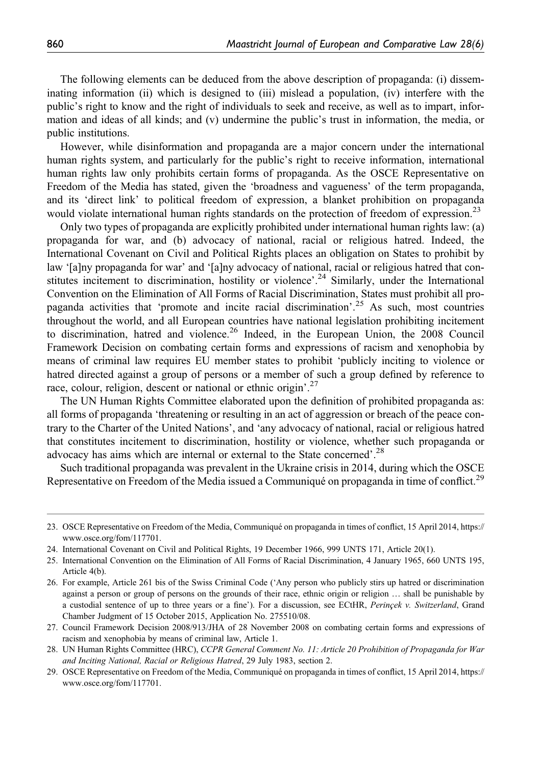The following elements can be deduced from the above description of propaganda: (i) disseminating information (ii) which is designed to (iii) mislead a population, (iv) interfere with the public's right to know and the right of individuals to seek and receive, as well as to impart, information and ideas of all kinds; and (v) undermine the public's trust in information, the media, or public institutions.

However, while disinformation and propaganda are a major concern under the international human rights system, and particularly for the public's right to receive information, international human rights law only prohibits certain forms of propaganda. As the OSCE Representative on Freedom of the Media has stated, given the 'broadness and vagueness' of the term propaganda, and its 'direct link' to political freedom of expression, a blanket prohibition on propaganda would violate international human rights standards on the protection of freedom of expression.<sup>23</sup>

Only two types of propaganda are explicitly prohibited under international human rights law: (a) propaganda for war, and (b) advocacy of national, racial or religious hatred. Indeed, the International Covenant on Civil and Political Rights places an obligation on States to prohibit by law '[a]ny propaganda for war' and '[a]ny advocacy of national, racial or religious hatred that constitutes incitement to discrimination, hostility or violence'.<sup>24</sup> Similarly, under the International Convention on the Elimination of All Forms of Racial Discrimination, States must prohibit all propaganda activities that 'promote and incite racial discrimination'.<sup>25</sup> As such, most countries throughout the world, and all European countries have national legislation prohibiting incitement to discrimination, hatred and violence.<sup>26</sup> Indeed, in the European Union, the 2008 Council Framework Decision on combating certain forms and expressions of racism and xenophobia by means of criminal law requires EU member states to prohibit 'publicly inciting to violence or hatred directed against a group of persons or a member of such a group defined by reference to race, colour, religion, descent or national or ethnic origin'.<sup>27</sup>

The UN Human Rights Committee elaborated upon the definition of prohibited propaganda as: all forms of propaganda 'threatening or resulting in an act of aggression or breach of the peace contrary to the Charter of the United Nations', and 'any advocacy of national, racial or religious hatred that constitutes incitement to discrimination, hostility or violence, whether such propaganda or advocacy has aims which are internal or external to the State concerned'.<sup>28</sup>

Such traditional propaganda was prevalent in the Ukraine crisis in 2014, during which the OSCE Representative on Freedom of the Media issued a Communiqué on propaganda in time of conflict.<sup>29</sup>

<sup>23.</sup> OSCE Representative on Freedom of the Media, Communiqué on propaganda in times of conflict, 15 April 2014, [https://](https://www.osce.org/fom/117701) [www.osce.org/fom/117701.](https://www.osce.org/fom/117701)

<sup>24.</sup> International Covenant on Civil and Political Rights, 19 December 1966, 999 UNTS 171, Article 20(1).

<sup>25.</sup> International Convention on the Elimination of All Forms of Racial Discrimination, 4 January 1965, 660 UNTS 195, Article 4(b).

<sup>26.</sup> For example, Article 261 bis of the Swiss Criminal Code ('Any person who publicly stirs up hatred or discrimination against a person or group of persons on the grounds of their race, ethnic origin or religion … shall be punishable by a custodial sentence of up to three years or a fine'). For a discussion, see ECtHR, Perinçek v. Switzerland, Grand Chamber Judgment of 15 October 2015, Application No. 275510/08.

<sup>27.</sup> Council Framework Decision 2008/913/JHA of 28 November 2008 on combating certain forms and expressions of racism and xenophobia by means of criminal law, Article 1.

<sup>28.</sup> UN Human Rights Committee (HRC), CCPR General Comment No. 11: Article 20 Prohibition of Propaganda for War and Inciting National, Racial or Religious Hatred, 29 July 1983, section 2.

<sup>29.</sup> OSCE Representative on Freedom of the Media, Communiqué on propaganda in times of conflict, 15 April 2014, [https://](https://www.osce.org/fom/117701) [www.osce.org/fom/117701.](https://www.osce.org/fom/117701)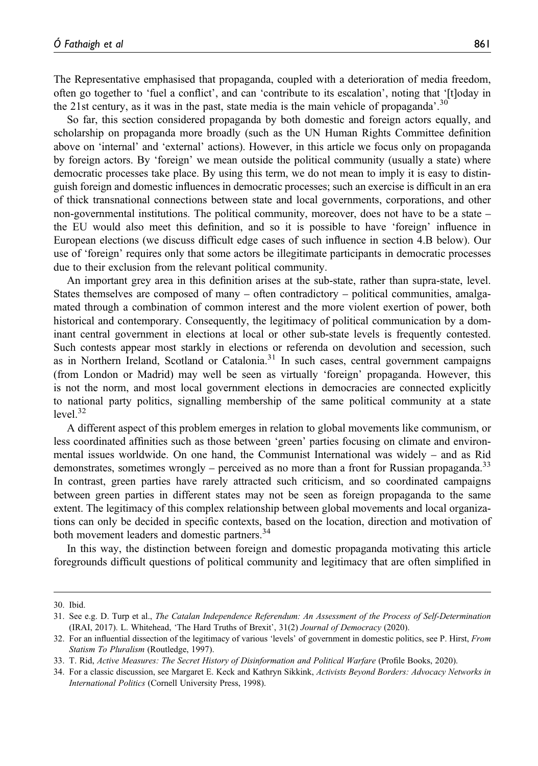The Representative emphasised that propaganda, coupled with a deterioration of media freedom, often go together to 'fuel a conflict', and can 'contribute to its escalation', noting that '[t]oday in the 21st century, as it was in the past, state media is the main vehicle of propaganda'.<sup>30</sup>

So far, this section considered propaganda by both domestic and foreign actors equally, and scholarship on propaganda more broadly (such as the UN Human Rights Committee definition above on 'internal' and 'external' actions). However, in this article we focus only on propaganda by foreign actors. By 'foreign' we mean outside the political community (usually a state) where democratic processes take place. By using this term, we do not mean to imply it is easy to distinguish foreign and domestic influences in democratic processes; such an exercise is difficult in an era of thick transnational connections between state and local governments, corporations, and other non-governmental institutions. The political community, moreover, does not have to be a state – the EU would also meet this definition, and so it is possible to have 'foreign' influence in European elections (we discuss difficult edge cases of such influence in section 4.B below). Our use of 'foreign' requires only that some actors be illegitimate participants in democratic processes due to their exclusion from the relevant political community.

An important grey area in this definition arises at the sub-state, rather than supra-state, level. States themselves are composed of many – often contradictory – political communities, amalgamated through a combination of common interest and the more violent exertion of power, both historical and contemporary. Consequently, the legitimacy of political communication by a dominant central government in elections at local or other sub-state levels is frequently contested. Such contests appear most starkly in elections or referenda on devolution and secession, such as in Northern Ireland, Scotland or Catalonia.<sup>31</sup> In such cases, central government campaigns (from London or Madrid) may well be seen as virtually 'foreign' propaganda. However, this is not the norm, and most local government elections in democracies are connected explicitly to national party politics, signalling membership of the same political community at a state  $level<sup>32</sup>$ 

A different aspect of this problem emerges in relation to global movements like communism, or less coordinated affinities such as those between 'green' parties focusing on climate and environmental issues worldwide. On one hand, the Communist International was widely – and as Rid demonstrates, sometimes wrongly – perceived as no more than a front for Russian propaganda.<sup>33</sup> In contrast, green parties have rarely attracted such criticism, and so coordinated campaigns between green parties in different states may not be seen as foreign propaganda to the same extent. The legitimacy of this complex relationship between global movements and local organizations can only be decided in specific contexts, based on the location, direction and motivation of both movement leaders and domestic partners.<sup>34</sup>

In this way, the distinction between foreign and domestic propaganda motivating this article foregrounds difficult questions of political community and legitimacy that are often simplified in

<sup>30.</sup> Ibid.

<sup>31.</sup> See e.g. D. Turp et al., The Catalan Independence Referendum: An Assessment of the Process of Self-Determination (IRAI, 2017). L. Whitehead, 'The Hard Truths of Brexit', 31(2) Journal of Democracy (2020).

<sup>32.</sup> For an influential dissection of the legitimacy of various 'levels' of government in domestic politics, see P. Hirst, From Statism To Pluralism (Routledge, 1997).

<sup>33.</sup> T. Rid, Active Measures: The Secret History of Disinformation and Political Warfare (Profile Books, 2020).

<sup>34.</sup> For a classic discussion, see Margaret E. Keck and Kathryn Sikkink, Activists Beyond Borders: Advocacy Networks in International Politics (Cornell University Press, 1998).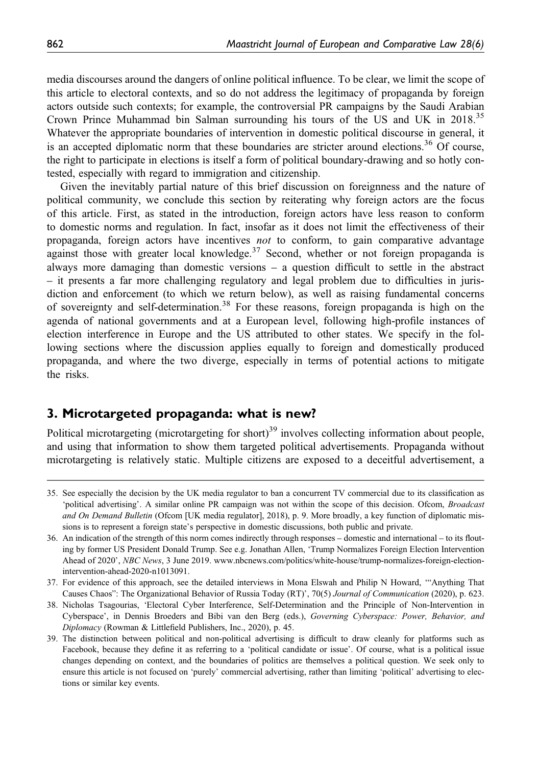media discourses around the dangers of online political influence. To be clear, we limit the scope of this article to electoral contexts, and so do not address the legitimacy of propaganda by foreign actors outside such contexts; for example, the controversial PR campaigns by the Saudi Arabian Crown Prince Muhammad bin Salman surrounding his tours of the US and UK in 2018.35 Whatever the appropriate boundaries of intervention in domestic political discourse in general, it is an accepted diplomatic norm that these boundaries are stricter around elections.<sup>36</sup> Of course, the right to participate in elections is itself a form of political boundary-drawing and so hotly contested, especially with regard to immigration and citizenship.

Given the inevitably partial nature of this brief discussion on foreignness and the nature of political community, we conclude this section by reiterating why foreign actors are the focus of this article. First, as stated in the introduction, foreign actors have less reason to conform to domestic norms and regulation. In fact, insofar as it does not limit the effectiveness of their propaganda, foreign actors have incentives not to conform, to gain comparative advantage against those with greater local knowledge.<sup>37</sup> Second, whether or not foreign propaganda is always more damaging than domestic versions – a question difficult to settle in the abstract – it presents a far more challenging regulatory and legal problem due to difficulties in jurisdiction and enforcement (to which we return below), as well as raising fundamental concerns of sovereignty and self-determination.38 For these reasons, foreign propaganda is high on the agenda of national governments and at a European level, following high-profile instances of election interference in Europe and the US attributed to other states. We specify in the following sections where the discussion applies equally to foreign and domestically produced propaganda, and where the two diverge, especially in terms of potential actions to mitigate the risks.

### 3. Microtargeted propaganda: what is new?

Political microtargeting (microtargeting for short)<sup>39</sup> involves collecting information about people, and using that information to show them targeted political advertisements. Propaganda without microtargeting is relatively static. Multiple citizens are exposed to a deceitful advertisement, a

<sup>35.</sup> See especially the decision by the UK media regulator to ban a concurrent TV commercial due to its classification as 'political advertising'. A similar online PR campaign was not within the scope of this decision. Ofcom, Broadcast and On Demand Bulletin (Ofcom [UK media regulator], 2018), p. 9. More broadly, a key function of diplomatic missions is to represent a foreign state's perspective in domestic discussions, both public and private.

<sup>36.</sup> An indication of the strength of this norm comes indirectly through responses – domestic and international – to its flouting by former US President Donald Trump. See e.g. Jonathan Allen, 'Trump Normalizes Foreign Election Intervention Ahead of 2020', NBC News, 3 June 2019. [www.nbcnews.com/politics/white-house/trump-normalizes-foreign-election](www.nbcnews.com/politics/white-house/trump-normalizes-foreign-election-intervention-ahead-2020-n1013091)[intervention-ahead-2020-n1013091](www.nbcnews.com/politics/white-house/trump-normalizes-foreign-election-intervention-ahead-2020-n1013091).

<sup>37.</sup> For evidence of this approach, see the detailed interviews in Mona Elswah and Philip N Howard, '"Anything That Causes Chaos": The Organizational Behavior of Russia Today (RT)', 70(5) Journal of Communication (2020), p. 623.

<sup>38.</sup> Nicholas Tsagourias, 'Electoral Cyber Interference, Self-Determination and the Principle of Non-Intervention in Cyberspace', in Dennis Broeders and Bibi van den Berg (eds.), Governing Cyberspace: Power, Behavior, and Diplomacy (Rowman & Littlefield Publishers, Inc., 2020), p. 45.

<sup>39.</sup> The distinction between political and non-political advertising is difficult to draw cleanly for platforms such as Facebook, because they define it as referring to a 'political candidate or issue'. Of course, what is a political issue changes depending on context, and the boundaries of politics are themselves a political question. We seek only to ensure this article is not focused on 'purely' commercial advertising, rather than limiting 'political' advertising to elections or similar key events.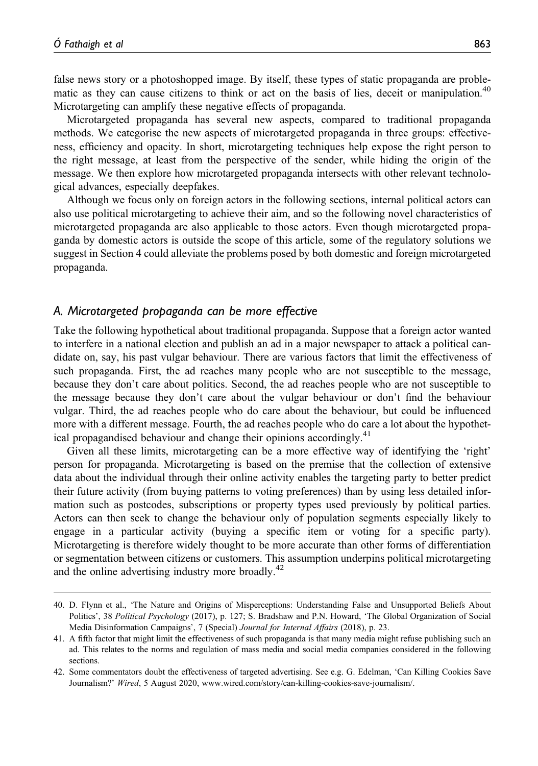false news story or a photoshopped image. By itself, these types of static propaganda are problematic as they can cause citizens to think or act on the basis of lies, deceit or manipulation.<sup>40</sup> Microtargeting can amplify these negative effects of propaganda.

Microtargeted propaganda has several new aspects, compared to traditional propaganda methods. We categorise the new aspects of microtargeted propaganda in three groups: effectiveness, efficiency and opacity. In short, microtargeting techniques help expose the right person to the right message, at least from the perspective of the sender, while hiding the origin of the message. We then explore how microtargeted propaganda intersects with other relevant technological advances, especially deepfakes.

Although we focus only on foreign actors in the following sections, internal political actors can also use political microtargeting to achieve their aim, and so the following novel characteristics of microtargeted propaganda are also applicable to those actors. Even though microtargeted propaganda by domestic actors is outside the scope of this article, some of the regulatory solutions we suggest in Section 4 could alleviate the problems posed by both domestic and foreign microtargeted propaganda.

#### A. Microtargeted propaganda can be more effective

Take the following hypothetical about traditional propaganda. Suppose that a foreign actor wanted to interfere in a national election and publish an ad in a major newspaper to attack a political candidate on, say, his past vulgar behaviour. There are various factors that limit the effectiveness of such propaganda. First, the ad reaches many people who are not susceptible to the message, because they don't care about politics. Second, the ad reaches people who are not susceptible to the message because they don't care about the vulgar behaviour or don't find the behaviour vulgar. Third, the ad reaches people who do care about the behaviour, but could be influenced more with a different message. Fourth, the ad reaches people who do care a lot about the hypothetical propagandised behaviour and change their opinions accordingly.<sup>41</sup>

Given all these limits, microtargeting can be a more effective way of identifying the 'right' person for propaganda. Microtargeting is based on the premise that the collection of extensive data about the individual through their online activity enables the targeting party to better predict their future activity (from buying patterns to voting preferences) than by using less detailed information such as postcodes, subscriptions or property types used previously by political parties. Actors can then seek to change the behaviour only of population segments especially likely to engage in a particular activity (buying a specific item or voting for a specific party). Microtargeting is therefore widely thought to be more accurate than other forms of differentiation or segmentation between citizens or customers. This assumption underpins political microtargeting and the online advertising industry more broadly.<sup>42</sup>

<sup>40.</sup> D. Flynn et al., 'The Nature and Origins of Misperceptions: Understanding False and Unsupported Beliefs About Politics', 38 Political Psychology (2017), p. 127; S. Bradshaw and P.N. Howard, 'The Global Organization of Social Media Disinformation Campaigns', 7 (Special) Journal for Internal Affairs (2018), p. 23.

<sup>41.</sup> A fifth factor that might limit the effectiveness of such propaganda is that many media might refuse publishing such an ad. This relates to the norms and regulation of mass media and social media companies considered in the following sections.

<sup>42.</sup> Some commentators doubt the effectiveness of targeted advertising. See e.g. G. Edelman, 'Can Killing Cookies Save Journalism?' Wired, 5 August 2020, [www.wired.com/story/can-killing-cookies-save-journalism/.](www.wired.com/story/can-killing-cookies-save-journalism/)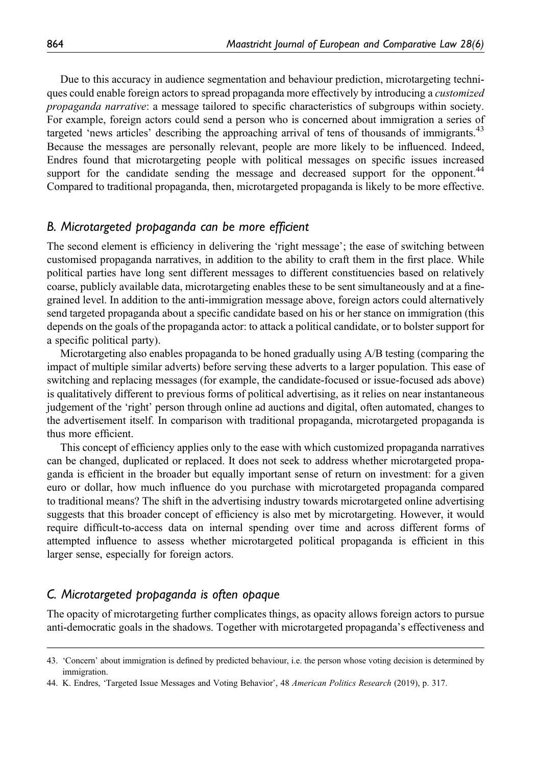Due to this accuracy in audience segmentation and behaviour prediction, microtargeting techniques could enable foreign actors to spread propaganda more effectively by introducing a *customized* propaganda narrative: a message tailored to specific characteristics of subgroups within society. For example, foreign actors could send a person who is concerned about immigration a series of targeted 'news articles' describing the approaching arrival of tens of thousands of immigrants.<sup>43</sup> Because the messages are personally relevant, people are more likely to be influenced. Indeed, Endres found that microtargeting people with political messages on specific issues increased support for the candidate sending the message and decreased support for the opponent.<sup>44</sup> Compared to traditional propaganda, then, microtargeted propaganda is likely to be more effective.

#### B. Microtargeted propaganda can be more efficient

The second element is efficiency in delivering the 'right message'; the ease of switching between customised propaganda narratives, in addition to the ability to craft them in the first place. While political parties have long sent different messages to different constituencies based on relatively coarse, publicly available data, microtargeting enables these to be sent simultaneously and at a finegrained level. In addition to the anti-immigration message above, foreign actors could alternatively send targeted propaganda about a specific candidate based on his or her stance on immigration (this depends on the goals of the propaganda actor: to attack a political candidate, or to bolster support for a specific political party).

Microtargeting also enables propaganda to be honed gradually using A/B testing (comparing the impact of multiple similar adverts) before serving these adverts to a larger population. This ease of switching and replacing messages (for example, the candidate-focused or issue-focused ads above) is qualitatively different to previous forms of political advertising, as it relies on near instantaneous judgement of the 'right' person through online ad auctions and digital, often automated, changes to the advertisement itself. In comparison with traditional propaganda, microtargeted propaganda is thus more efficient.

This concept of efficiency applies only to the ease with which customized propaganda narratives can be changed, duplicated or replaced. It does not seek to address whether microtargeted propaganda is efficient in the broader but equally important sense of return on investment: for a given euro or dollar, how much influence do you purchase with microtargeted propaganda compared to traditional means? The shift in the advertising industry towards microtargeted online advertising suggests that this broader concept of efficiency is also met by microtargeting. However, it would require difficult-to-access data on internal spending over time and across different forms of attempted influence to assess whether microtargeted political propaganda is efficient in this larger sense, especially for foreign actors.

#### C. Microtargeted propaganda is often opaque

The opacity of microtargeting further complicates things, as opacity allows foreign actors to pursue anti-democratic goals in the shadows. Together with microtargeted propaganda's effectiveness and

<sup>43.</sup> 'Concern' about immigration is defined by predicted behaviour, i.e. the person whose voting decision is determined by immigration.

<sup>44.</sup> K. Endres, 'Targeted Issue Messages and Voting Behavior', 48 American Politics Research (2019), p. 317.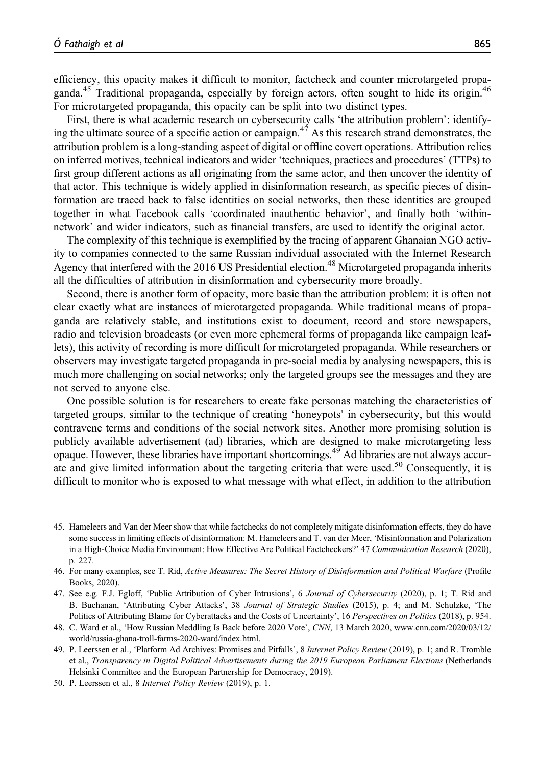efficiency, this opacity makes it difficult to monitor, factcheck and counter microtargeted propaganda.<sup>45</sup> Traditional propaganda, especially by foreign actors, often sought to hide its origin.<sup>46</sup> For microtargeted propaganda, this opacity can be split into two distinct types.

First, there is what academic research on cybersecurity calls 'the attribution problem': identifying the ultimate source of a specific action or campaign.<sup>47</sup> As this research strand demonstrates, the attribution problem is a long-standing aspect of digital or offline covert operations. Attribution relies on inferred motives, technical indicators and wider 'techniques, practices and procedures' (TTPs) to first group different actions as all originating from the same actor, and then uncover the identity of that actor. This technique is widely applied in disinformation research, as specific pieces of disinformation are traced back to false identities on social networks, then these identities are grouped together in what Facebook calls 'coordinated inauthentic behavior', and finally both 'withinnetwork' and wider indicators, such as financial transfers, are used to identify the original actor.

The complexity of this technique is exemplified by the tracing of apparent Ghanaian NGO activity to companies connected to the same Russian individual associated with the Internet Research Agency that interfered with the 2016 US Presidential election.<sup>48</sup> Microtargeted propaganda inherits all the difficulties of attribution in disinformation and cybersecurity more broadly.

Second, there is another form of opacity, more basic than the attribution problem: it is often not clear exactly what are instances of microtargeted propaganda. While traditional means of propaganda are relatively stable, and institutions exist to document, record and store newspapers, radio and television broadcasts (or even more ephemeral forms of propaganda like campaign leaflets), this activity of recording is more difficult for microtargeted propaganda. While researchers or observers may investigate targeted propaganda in pre-social media by analysing newspapers, this is much more challenging on social networks; only the targeted groups see the messages and they are not served to anyone else.

One possible solution is for researchers to create fake personas matching the characteristics of targeted groups, similar to the technique of creating 'honeypots' in cybersecurity, but this would contravene terms and conditions of the social network sites. Another more promising solution is publicly available advertisement (ad) libraries, which are designed to make microtargeting less opaque. However, these libraries have important shortcomings.<sup>49</sup> Ad libraries are not always accurate and give limited information about the targeting criteria that were used.<sup>50</sup> Consequently, it is difficult to monitor who is exposed to what message with what effect, in addition to the attribution

<sup>45.</sup> Hameleers and Van der Meer show that while factchecks do not completely mitigate disinformation effects, they do have some success in limiting effects of disinformation: M. Hameleers and T. van der Meer, 'Misinformation and Polarization in a High-Choice Media Environment: How Effective Are Political Factcheckers?' 47 Communication Research (2020), p. 227.

<sup>46.</sup> For many examples, see T. Rid, Active Measures: The Secret History of Disinformation and Political Warfare (Profile Books, 2020).

<sup>47.</sup> See e.g. F.J. Egloff, 'Public Attribution of Cyber Intrusions', 6 Journal of Cybersecurity (2020), p. 1; T. Rid and B. Buchanan, 'Attributing Cyber Attacks', 38 Journal of Strategic Studies (2015), p. 4; and M. Schulzke, 'The Politics of Attributing Blame for Cyberattacks and the Costs of Uncertainty', 16 Perspectives on Politics (2018), p. 954.

<sup>48.</sup> C. Ward et al., 'How Russian Meddling Is Back before 2020 Vote', CNN, 13 March 2020, [www.cnn.com/2020/03/12/](www.cnn.com/2020/03/12/world/russia-ghana-troll-farms-2020-ward/index.html) [world/russia-ghana-troll-farms-2020-ward/index.html.](www.cnn.com/2020/03/12/world/russia-ghana-troll-farms-2020-ward/index.html)

<sup>49.</sup> P. Leerssen et al., 'Platform Ad Archives: Promises and Pitfalls', 8 Internet Policy Review (2019), p. 1; and R. Tromble et al., Transparency in Digital Political Advertisements during the 2019 European Parliament Elections (Netherlands Helsinki Committee and the European Partnership for Democracy, 2019).

<sup>50.</sup> P. Leerssen et al., 8 Internet Policy Review (2019), p. 1.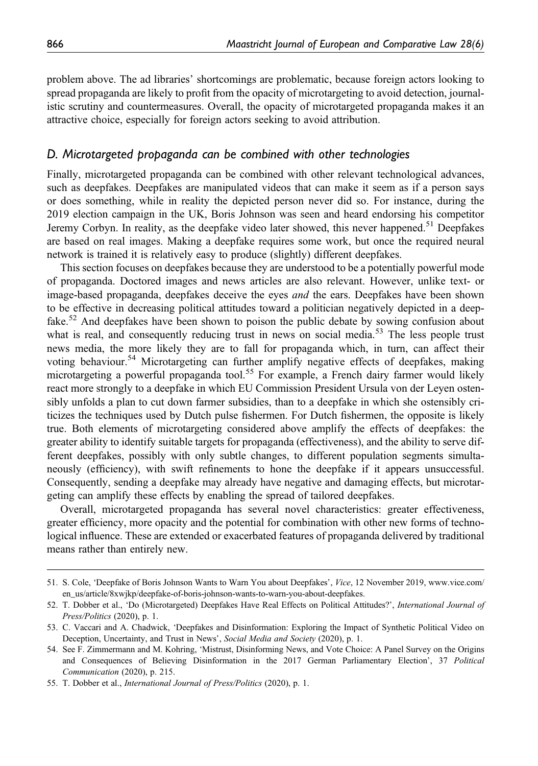problem above. The ad libraries' shortcomings are problematic, because foreign actors looking to spread propaganda are likely to profit from the opacity of microtargeting to avoid detection, journalistic scrutiny and countermeasures. Overall, the opacity of microtargeted propaganda makes it an attractive choice, especially for foreign actors seeking to avoid attribution.

#### D. Microtargeted propaganda can be combined with other technologies

Finally, microtargeted propaganda can be combined with other relevant technological advances, such as deepfakes. Deepfakes are manipulated videos that can make it seem as if a person says or does something, while in reality the depicted person never did so. For instance, during the 2019 election campaign in the UK, Boris Johnson was seen and heard endorsing his competitor Jeremy Corbyn. In reality, as the deepfake video later showed, this never happened.<sup>51</sup> Deepfakes are based on real images. Making a deepfake requires some work, but once the required neural network is trained it is relatively easy to produce (slightly) different deepfakes.

This section focuses on deepfakes because they are understood to be a potentially powerful mode of propaganda. Doctored images and news articles are also relevant. However, unlike text- or image-based propaganda, deepfakes deceive the eyes and the ears. Deepfakes have been shown to be effective in decreasing political attitudes toward a politician negatively depicted in a deepfake.<sup>52</sup> And deepfakes have been shown to poison the public debate by sowing confusion about what is real, and consequently reducing trust in news on social media.<sup>53</sup> The less people trust news media, the more likely they are to fall for propaganda which, in turn, can affect their voting behaviour.<sup>54</sup> Microtargeting can further amplify negative effects of deepfakes, making microtargeting a powerful propaganda tool.<sup>55</sup> For example, a French dairy farmer would likely react more strongly to a deepfake in which EU Commission President Ursula von der Leyen ostensibly unfolds a plan to cut down farmer subsidies, than to a deepfake in which she ostensibly criticizes the techniques used by Dutch pulse fishermen. For Dutch fishermen, the opposite is likely true. Both elements of microtargeting considered above amplify the effects of deepfakes: the greater ability to identify suitable targets for propaganda (effectiveness), and the ability to serve different deepfakes, possibly with only subtle changes, to different population segments simultaneously (efficiency), with swift refinements to hone the deepfake if it appears unsuccessful. Consequently, sending a deepfake may already have negative and damaging effects, but microtargeting can amplify these effects by enabling the spread of tailored deepfakes.

Overall, microtargeted propaganda has several novel characteristics: greater effectiveness, greater efficiency, more opacity and the potential for combination with other new forms of technological influence. These are extended or exacerbated features of propaganda delivered by traditional means rather than entirely new.

<sup>51.</sup> S. Cole, 'Deepfake of Boris Johnson Wants to Warn You about Deepfakes', Vice, 12 November 2019, [www.vice.com/](www.vice.com/en_us/article/8xwjkp/deepfake-of-boris-johnson-wants-to-warn-you-about-deepfakes) [en\\_us/article/8xwjkp/deepfake-of-boris-johnson-wants-to-warn-you-about-deepfakes](www.vice.com/en_us/article/8xwjkp/deepfake-of-boris-johnson-wants-to-warn-you-about-deepfakes).

<sup>52.</sup> T. Dobber et al., 'Do (Microtargeted) Deepfakes Have Real Effects on Political Attitudes?', International Journal of Press/Politics (2020), p. 1.

<sup>53.</sup> C. Vaccari and A. Chadwick, 'Deepfakes and Disinformation: Exploring the Impact of Synthetic Political Video on Deception, Uncertainty, and Trust in News', Social Media and Society (2020), p. 1.

<sup>54.</sup> See F. Zimmermann and M. Kohring, 'Mistrust, Disinforming News, and Vote Choice: A Panel Survey on the Origins and Consequences of Believing Disinformation in the 2017 German Parliamentary Election', 37 Political Communication (2020), p. 215.

<sup>55.</sup> T. Dobber et al., International Journal of Press/Politics (2020), p. 1.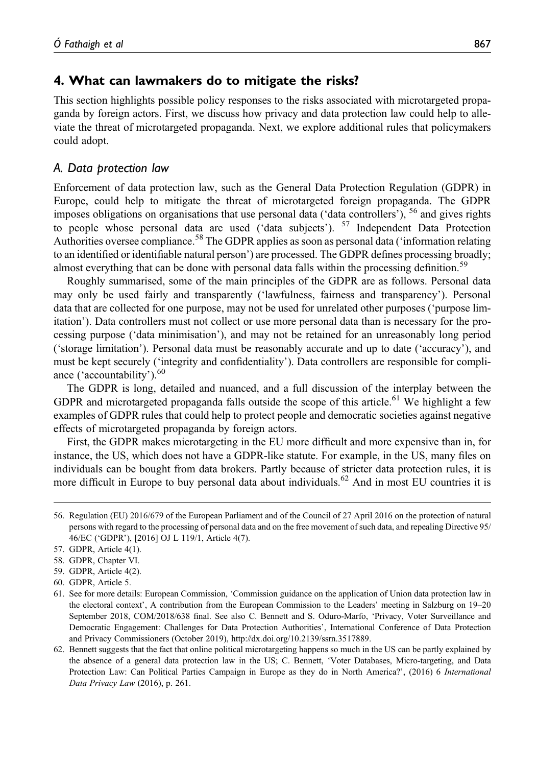### 4. What can lawmakers do to mitigate the risks?

This section highlights possible policy responses to the risks associated with microtargeted propaganda by foreign actors. First, we discuss how privacy and data protection law could help to alleviate the threat of microtargeted propaganda. Next, we explore additional rules that policymakers could adopt.

#### A. Data protection law

Enforcement of data protection law, such as the General Data Protection Regulation (GDPR) in Europe, could help to mitigate the threat of microtargeted foreign propaganda. The GDPR imposes obligations on organisations that use personal data ('data controllers'),  $<sup>56</sup>$  and gives rights</sup> to people whose personal data are used ('data subjects'). <sup>57</sup> Independent Data Protection Authorities oversee compliance.<sup>58</sup> The GDPR applies as soon as personal data ('information relating to an identified or identifiable natural person') are processed. The GDPR defines processing broadly; almost everything that can be done with personal data falls within the processing definition.<sup>59</sup>

Roughly summarised, some of the main principles of the GDPR are as follows. Personal data may only be used fairly and transparently ('lawfulness, fairness and transparency'). Personal data that are collected for one purpose, may not be used for unrelated other purposes ('purpose limitation'). Data controllers must not collect or use more personal data than is necessary for the processing purpose ('data minimisation'), and may not be retained for an unreasonably long period ('storage limitation'). Personal data must be reasonably accurate and up to date ('accuracy'), and must be kept securely ('integrity and confidentiality'). Data controllers are responsible for compliance ('accountability').<sup>60</sup>

The GDPR is long, detailed and nuanced, and a full discussion of the interplay between the GDPR and microtargeted propaganda falls outside the scope of this article.<sup>61</sup> We highlight a few examples of GDPR rules that could help to protect people and democratic societies against negative effects of microtargeted propaganda by foreign actors.

First, the GDPR makes microtargeting in the EU more difficult and more expensive than in, for instance, the US, which does not have a GDPR-like statute. For example, in the US, many files on individuals can be bought from data brokers. Partly because of stricter data protection rules, it is more difficult in Europe to buy personal data about individuals.<sup>62</sup> And in most EU countries it is

- 59. GDPR, Article 4(2).
- 60. GDPR, Article 5.

<sup>56.</sup> Regulation (EU) 2016/679 of the European Parliament and of the Council of 27 April 2016 on the protection of natural persons with regard to the processing of personal data and on the free movement of such data, and repealing Directive 95/ 46/EC ('GDPR'), [2016] OJ L 119/1, Article 4(7).

<sup>57.</sup> GDPR, Article 4(1).

<sup>58.</sup> GDPR, Chapter VI.

<sup>61.</sup> See for more details: European Commission, 'Commission guidance on the application of Union data protection law in the electoral context', A contribution from the European Commission to the Leaders' meeting in Salzburg on 19–20 September 2018, COM/2018/638 final. See also C. Bennett and S. Oduro-Marfo, 'Privacy, Voter Surveillance and Democratic Engagement: Challenges for Data Protection Authorities', International Conference of Data Protection and Privacy Commissioners (October 2019), [http://dx.doi.org/10.2139/ssrn.3517889.](http://dx.doi.org/10.2139/ssrn.3517889)

<sup>62.</sup> Bennett suggests that the fact that online political microtargeting happens so much in the US can be partly explained by the absence of a general data protection law in the US; C. Bennett, 'Voter Databases, Micro-targeting, and Data Protection Law: Can Political Parties Campaign in Europe as they do in North America?', (2016) 6 International Data Privacy Law (2016), p. 261.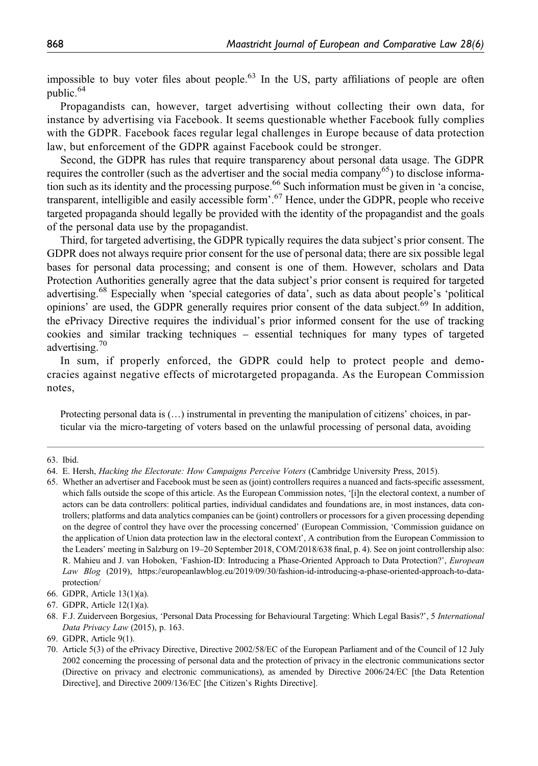impossible to buy voter files about people.<sup>63</sup> In the US, party affiliations of people are often public.<sup>64</sup>

Propagandists can, however, target advertising without collecting their own data, for instance by advertising via Facebook. It seems questionable whether Facebook fully complies with the GDPR. Facebook faces regular legal challenges in Europe because of data protection law, but enforcement of the GDPR against Facebook could be stronger.

Second, the GDPR has rules that require transparency about personal data usage. The GDPR requires the controller (such as the advertiser and the social media company<sup>65</sup>) to disclose information such as its identity and the processing purpose.<sup>66</sup> Such information must be given in 'a concise. transparent, intelligible and easily accessible form'. <sup>67</sup> Hence, under the GDPR, people who receive targeted propaganda should legally be provided with the identity of the propagandist and the goals of the personal data use by the propagandist.

Third, for targeted advertising, the GDPR typically requires the data subject's prior consent. The GDPR does not always require prior consent for the use of personal data; there are six possible legal bases for personal data processing; and consent is one of them. However, scholars and Data Protection Authorities generally agree that the data subject's prior consent is required for targeted advertising.<sup>68</sup> Especially when 'special categories of data', such as data about people's 'political opinions' are used, the GDPR generally requires prior consent of the data subject.<sup>69</sup> In addition, the ePrivacy Directive requires the individual's prior informed consent for the use of tracking cookies and similar tracking techniques – essential techniques for many types of targeted advertising.<sup>70</sup>

In sum, if properly enforced, the GDPR could help to protect people and democracies against negative effects of microtargeted propaganda. As the European Commission notes,

Protecting personal data is (…) instrumental in preventing the manipulation of citizens' choices, in particular via the micro-targeting of voters based on the unlawful processing of personal data, avoiding

65. Whether an advertiser and Facebook must be seen as (joint) controllers requires a nuanced and facts-specific assessment, which falls outside the scope of this article. As the European Commission notes, '[i]n the electoral context, a number of actors can be data controllers: political parties, individual candidates and foundations are, in most instances, data controllers; platforms and data analytics companies can be (joint) controllers or processors for a given processing depending on the degree of control they have over the processing concerned' (European Commission, 'Commission guidance on the application of Union data protection law in the electoral context', A contribution from the European Commission to the Leaders' meeting in Salzburg on 19–20 September 2018, COM/2018/638 final, p. 4). See on joint controllership also: R. Mahieu and J. van Hoboken, 'Fashion-ID: Introducing a Phase-Oriented Approach to Data Protection?', European Law Blog (2019), [https://europeanlawblog.eu/2019/09/30/fashion-id-introducing-a-phase-oriented-approach-to-data](https://europeanlawblog.eu/2019/09/30/fashion-id-introducing-a-phase-oriented-approach-to-data-protection/)[protection/](https://europeanlawblog.eu/2019/09/30/fashion-id-introducing-a-phase-oriented-approach-to-data-protection/)

<sup>63.</sup> Ibid.

<sup>64.</sup> E. Hersh, Hacking the Electorate: How Campaigns Perceive Voters (Cambridge University Press, 2015).

<sup>66.</sup> GDPR, Article 13(1)(a).

<sup>67.</sup> GDPR, Article 12(1)(a).

<sup>68.</sup> F.J. Zuiderveen Borgesius, 'Personal Data Processing for Behavioural Targeting: Which Legal Basis?', 5 International Data Privacy Law (2015), p. 163.

<sup>69.</sup> GDPR, Article 9(1).

<sup>70.</sup> Article 5(3) of the ePrivacy Directive, Directive 2002/58/EC of the European Parliament and of the Council of 12 July 2002 concerning the processing of personal data and the protection of privacy in the electronic communications sector (Directive on privacy and electronic communications), as amended by Directive 2006/24/EC [the Data Retention Directive], and Directive 2009/136/EC [the Citizen's Rights Directive].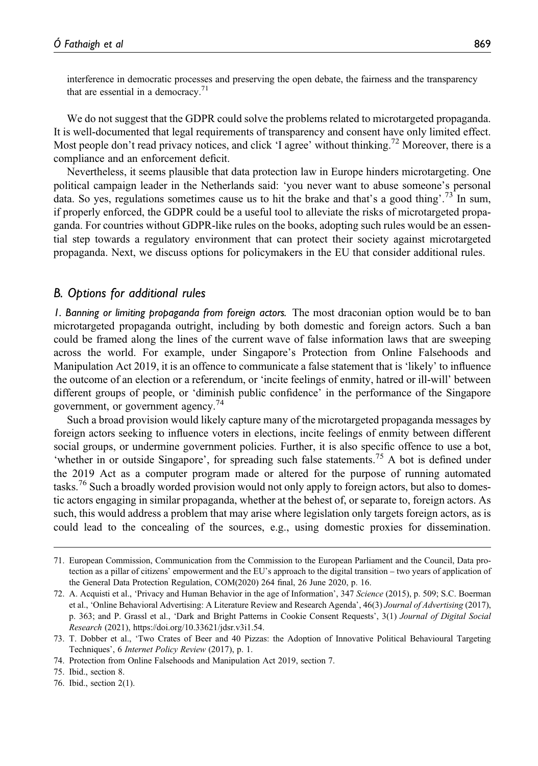interference in democratic processes and preserving the open debate, the fairness and the transparency that are essential in a democracy.<sup>71</sup>

We do not suggest that the GDPR could solve the problems related to microtargeted propaganda. It is well-documented that legal requirements of transparency and consent have only limited effect. Most people don't read privacy notices, and click 'I agree' without thinking.<sup>72</sup> Moreover, there is a compliance and an enforcement deficit.

Nevertheless, it seems plausible that data protection law in Europe hinders microtargeting. One political campaign leader in the Netherlands said: 'you never want to abuse someone's personal data. So yes, regulations sometimes cause us to hit the brake and that's a good thing'.<sup>73</sup> In sum, if properly enforced, the GDPR could be a useful tool to alleviate the risks of microtargeted propaganda. For countries without GDPR-like rules on the books, adopting such rules would be an essential step towards a regulatory environment that can protect their society against microtargeted propaganda. Next, we discuss options for policymakers in the EU that consider additional rules.

#### B. Options for additional rules

1. Banning or limiting propaganda from foreign actors. The most draconian option would be to ban microtargeted propaganda outright, including by both domestic and foreign actors. Such a ban could be framed along the lines of the current wave of false information laws that are sweeping across the world. For example, under Singapore's Protection from Online Falsehoods and Manipulation Act 2019, it is an offence to communicate a false statement that is 'likely' to influence the outcome of an election or a referendum, or 'incite feelings of enmity, hatred or ill-will' between different groups of people, or 'diminish public confidence' in the performance of the Singapore government, or government agency.<sup>74</sup>

Such a broad provision would likely capture many of the microtargeted propaganda messages by foreign actors seeking to influence voters in elections, incite feelings of enmity between different social groups, or undermine government policies. Further, it is also specific offence to use a bot, 'whether in or outside Singapore', for spreading such false statements.<sup>75</sup> A bot is defined under the 2019 Act as a computer program made or altered for the purpose of running automated tasks.<sup>76</sup> Such a broadly worded provision would not only apply to foreign actors, but also to domestic actors engaging in similar propaganda, whether at the behest of, or separate to, foreign actors. As such, this would address a problem that may arise where legislation only targets foreign actors, as is could lead to the concealing of the sources, e.g., using domestic proxies for dissemination.

<sup>71.</sup> European Commission, Communication from the Commission to the European Parliament and the Council, Data protection as a pillar of citizens' empowerment and the EU's approach to the digital transition – two years of application of the General Data Protection Regulation, COM(2020) 264 final, 26 June 2020, p. 16.

<sup>72.</sup> A. Acquisti et al., 'Privacy and Human Behavior in the age of Information', 347 Science (2015), p. 509; S.C. Boerman et al., 'Online Behavioral Advertising: A Literature Review and Research Agenda', 46(3) Journal of Advertising (2017), p. 363; and P. Grassl et al., 'Dark and Bright Patterns in Cookie Consent Requests', 3(1) Journal of Digital Social Research (2021),<https://doi.org/10.33621/jdsr.v3i1.54>.

<sup>73.</sup> T. Dobber et al., 'Two Crates of Beer and 40 Pizzas: the Adoption of Innovative Political Behavioural Targeting Techniques', 6 Internet Policy Review (2017), p. 1.

<sup>74.</sup> Protection from Online Falsehoods and Manipulation Act 2019, section 7.

<sup>75.</sup> Ibid., section 8.

<sup>76.</sup> Ibid., section 2(1).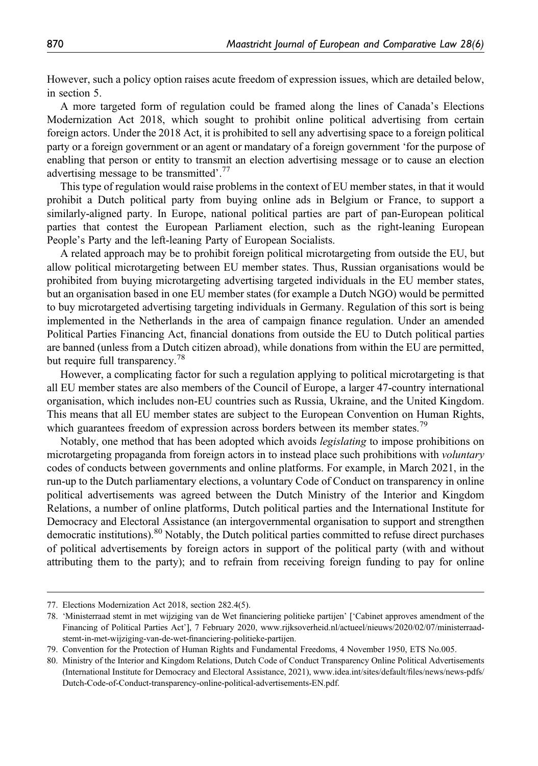However, such a policy option raises acute freedom of expression issues, which are detailed below, in section 5.

A more targeted form of regulation could be framed along the lines of Canada's Elections Modernization Act 2018, which sought to prohibit online political advertising from certain foreign actors. Under the 2018 Act, it is prohibited to sell any advertising space to a foreign political party or a foreign government or an agent or mandatary of a foreign government 'for the purpose of enabling that person or entity to transmit an election advertising message or to cause an election advertising message to be transmitted'. 77

This type of regulation would raise problems in the context of EU member states, in that it would prohibit a Dutch political party from buying online ads in Belgium or France, to support a similarly-aligned party. In Europe, national political parties are part of pan-European political parties that contest the European Parliament election, such as the right-leaning European People's Party and the left-leaning Party of European Socialists.

A related approach may be to prohibit foreign political microtargeting from outside the EU, but allow political microtargeting between EU member states. Thus, Russian organisations would be prohibited from buying microtargeting advertising targeted individuals in the EU member states, but an organisation based in one EU member states (for example a Dutch NGO) would be permitted to buy microtargeted advertising targeting individuals in Germany. Regulation of this sort is being implemented in the Netherlands in the area of campaign finance regulation. Under an amended Political Parties Financing Act, financial donations from outside the EU to Dutch political parties are banned (unless from a Dutch citizen abroad), while donations from within the EU are permitted, but require full transparency.<sup>78</sup>

However, a complicating factor for such a regulation applying to political microtargeting is that all EU member states are also members of the Council of Europe, a larger 47-country international organisation, which includes non-EU countries such as Russia, Ukraine, and the United Kingdom. This means that all EU member states are subject to the European Convention on Human Rights, which guarantees freedom of expression across borders between its member states.<sup>79</sup>

Notably, one method that has been adopted which avoids legislating to impose prohibitions on microtargeting propaganda from foreign actors in to instead place such prohibitions with *voluntary* codes of conducts between governments and online platforms. For example, in March 2021, in the run-up to the Dutch parliamentary elections, a voluntary Code of Conduct on transparency in online political advertisements was agreed between the Dutch Ministry of the Interior and Kingdom Relations, a number of online platforms, Dutch political parties and the International Institute for Democracy and Electoral Assistance (an intergovernmental organisation to support and strengthen democratic institutions).<sup>80</sup> Notably, the Dutch political parties committed to refuse direct purchases of political advertisements by foreign actors in support of the political party (with and without attributing them to the party); and to refrain from receiving foreign funding to pay for online

<sup>77.</sup> Elections Modernization Act 2018, section 282.4(5).

<sup>78.</sup> 'Ministerraad stemt in met wijziging van de Wet financiering politieke partijen' ['Cabinet approves amendment of the Financing of Political Parties Act'], 7 February 2020, [www.rijksoverheid.nl/actueel/nieuws/2020/02/07/ministerraad](www.rijksoverheid.nl/actueel/nieuws/2020/02/07/ministerraad-stemt-in-met-wijziging-van-de-wet-financiering-politieke-partijen)[stemt-in-met-wijziging-van-de-wet-](www.rijksoverheid.nl/actueel/nieuws/2020/02/07/ministerraad-stemt-in-met-wijziging-van-de-wet-financiering-politieke-partijen)financiering-politieke-partijen.

<sup>79.</sup> Convention for the Protection of Human Rights and Fundamental Freedoms, 4 November 1950, ETS No.005.

<sup>80.</sup> Ministry of the Interior and Kingdom Relations, Dutch Code of Conduct Transparency Online Political Advertisements (International Institute for Democracy and Electoral Assistance, 2021), [www.idea.int/sites/default/](www.idea.int/sites/default/files/news/news-pdfs/Dutch-Code-of-Conduct-transparency-online-political-advertisements-EN.pdf)files/news/news-pdfs/ [Dutch-Code-of-Conduct-transparency-online-political-advertisements-EN.pdf](www.idea.int/sites/default/files/news/news-pdfs/Dutch-Code-of-Conduct-transparency-online-political-advertisements-EN.pdf).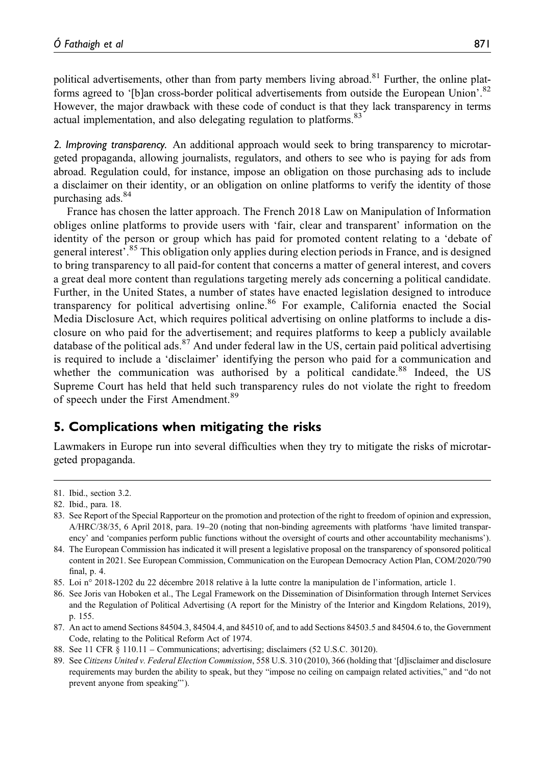political advertisements, other than from party members living abroad.<sup>81</sup> Further, the online platforms agreed to '[b]an cross-border political advertisements from outside the European Union'.<sup>82</sup> However, the major drawback with these code of conduct is that they lack transparency in terms actual implementation, and also delegating regulation to platforms.<sup>83</sup>

2. Improving transparency. An additional approach would seek to bring transparency to microtargeted propaganda, allowing journalists, regulators, and others to see who is paying for ads from abroad. Regulation could, for instance, impose an obligation on those purchasing ads to include a disclaimer on their identity, or an obligation on online platforms to verify the identity of those purchasing ads.<sup>84</sup>

France has chosen the latter approach. The French 2018 Law on Manipulation of Information obliges online platforms to provide users with 'fair, clear and transparent' information on the identity of the person or group which has paid for promoted content relating to a 'debate of general interest<sup>5</sup>.<sup>85</sup> This obligation only applies during election periods in France, and is designed to bring transparency to all paid-for content that concerns a matter of general interest, and covers a great deal more content than regulations targeting merely ads concerning a political candidate. Further, in the United States, a number of states have enacted legislation designed to introduce transparency for political advertising online.<sup>86</sup> For example, California enacted the Social Media Disclosure Act, which requires political advertising on online platforms to include a disclosure on who paid for the advertisement; and requires platforms to keep a publicly available database of the political ads.<sup>87</sup> And under federal law in the US, certain paid political advertising is required to include a 'disclaimer' identifying the person who paid for a communication and whether the communication was authorised by a political candidate.<sup>88</sup> Indeed, the US Supreme Court has held that held such transparency rules do not violate the right to freedom of speech under the First Amendment.<sup>89</sup>

## 5. Complications when mitigating the risks

Lawmakers in Europe run into several difficulties when they try to mitigate the risks of microtargeted propaganda.

85. Loi n° 2018-1202 du 22 décembre 2018 relative à la lutte contre la manipulation de l'information, article 1.

87. An act to amend Sections 84504.3, 84504.4, and 84510 of, and to add Sections 84503.5 and 84504.6 to, the Government Code, relating to the Political Reform Act of 1974.

<sup>81.</sup> Ibid., section 3.2.

<sup>82.</sup> Ibid., para. 18.

<sup>83.</sup> See Report of the Special Rapporteur on the promotion and protection of the right to freedom of opinion and expression, A/HRC/38/35, 6 April 2018, para. 19–20 (noting that non-binding agreements with platforms 'have limited transparency' and 'companies perform public functions without the oversight of courts and other accountability mechanisms').

<sup>84.</sup> The European Commission has indicated it will present a legislative proposal on the transparency of sponsored political content in 2021. See European Commission, Communication on the European Democracy Action Plan, COM/2020/790 final, p. 4.

<sup>86.</sup> See Joris van Hoboken et al., The Legal Framework on the Dissemination of Disinformation through Internet Services and the Regulation of Political Advertising (A report for the Ministry of the Interior and Kingdom Relations, 2019), p. 155.

<sup>88.</sup> See 11 CFR § 110.11 – Communications; advertising; disclaimers (52 U.S.C. 30120).

<sup>89.</sup> See Citizens United v. Federal Election Commission, 558 U.S. 310 (2010), 366 (holding that '[d]isclaimer and disclosure requirements may burden the ability to speak, but they "impose no ceiling on campaign related activities," and "do not prevent anyone from speaking"').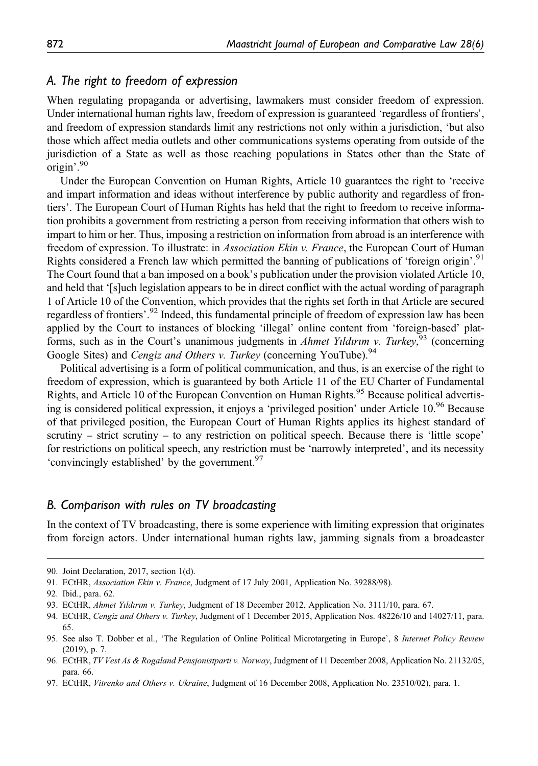## A. The right to freedom of expression

When regulating propaganda or advertising, lawmakers must consider freedom of expression. Under international human rights law, freedom of expression is guaranteed 'regardless of frontiers', and freedom of expression standards limit any restrictions not only within a jurisdiction, 'but also those which affect media outlets and other communications systems operating from outside of the jurisdiction of a State as well as those reaching populations in States other than the State of origin'. 90

Under the European Convention on Human Rights, Article 10 guarantees the right to 'receive and impart information and ideas without interference by public authority and regardless of frontiers'. The European Court of Human Rights has held that the right to freedom to receive information prohibits a government from restricting a person from receiving information that others wish to impart to him or her. Thus, imposing a restriction on information from abroad is an interference with freedom of expression. To illustrate: in Association Ekin v. France, the European Court of Human Rights considered a French law which permitted the banning of publications of 'foreign origin'.<sup>91</sup> The Court found that a ban imposed on a book's publication under the provision violated Article 10, and held that '[s]uch legislation appears to be in direct conflict with the actual wording of paragraph 1 of Article 10 of the Convention, which provides that the rights set forth in that Article are secured regardless of frontiers'.<sup>92</sup> Indeed, this fundamental principle of freedom of expression law has been applied by the Court to instances of blocking 'illegal' online content from 'foreign-based' platforms, such as in the Court's unanimous judgments in *Ahmet Yıldırım v. Turkey*,  $\frac{1}{2}$  (concerning Google Sites) and *Cengiz and Others v. Turkey* (concerning YouTube).<sup>94</sup>

Political advertising is a form of political communication, and thus, is an exercise of the right to freedom of expression, which is guaranteed by both Article 11 of the EU Charter of Fundamental Rights, and Article 10 of the European Convention on Human Rights.<sup>95</sup> Because political advertising is considered political expression, it enjoys a 'privileged position' under Article 10.<sup>96</sup> Because of that privileged position, the European Court of Human Rights applies its highest standard of scrutiny – strict scrutiny – to any restriction on political speech. Because there is 'little scope' for restrictions on political speech, any restriction must be 'narrowly interpreted', and its necessity 'convincingly established' by the government.<sup>97</sup>

#### B. Comparison with rules on TV broadcasting

In the context of TV broadcasting, there is some experience with limiting expression that originates from foreign actors. Under international human rights law, jamming signals from a broadcaster

<sup>90.</sup> Joint Declaration, 2017, section 1(d).

<sup>91.</sup> ECtHR, Association Ekin v. France, Judgment of 17 July 2001, Application No. 39288/98).

<sup>92.</sup> Ibid., para. 62.

<sup>93.</sup> ECtHR, Ahmet Yıldırım v. Turkey, Judgment of 18 December 2012, Application No. 3111/10, para. 67.

<sup>94.</sup> ECtHR, Cengiz and Others v. Turkey, Judgment of 1 December 2015, Application Nos. 48226/10 and 14027/11, para. 65.

<sup>95.</sup> See also T. Dobber et al., 'The Regulation of Online Political Microtargeting in Europe', 8 Internet Policy Review (2019), p. 7.

<sup>96.</sup> ECtHR, TV Vest As & Rogaland Pensjonistparti v. Norway, Judgment of 11 December 2008, Application No. 21132/05, para. 66.

<sup>97.</sup> ECtHR, Vitrenko and Others v. Ukraine, Judgment of 16 December 2008, Application No. 23510/02), para. 1.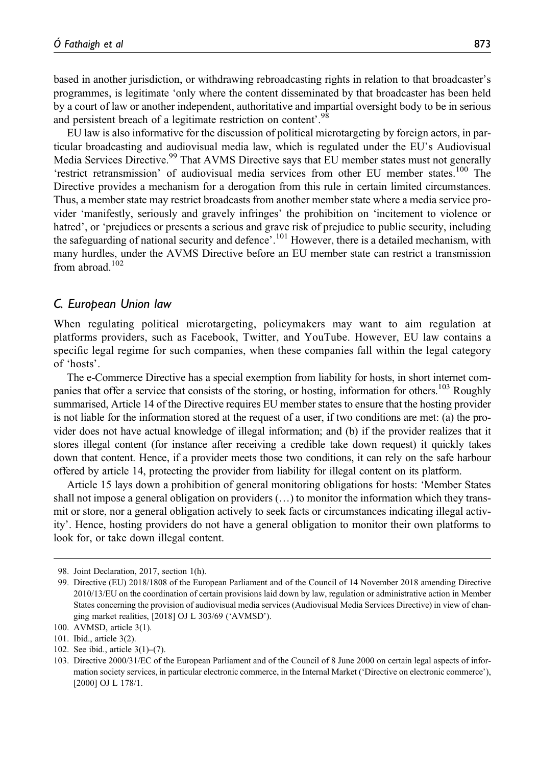based in another jurisdiction, or withdrawing rebroadcasting rights in relation to that broadcaster's programmes, is legitimate 'only where the content disseminated by that broadcaster has been held by a court of law or another independent, authoritative and impartial oversight body to be in serious and persistent breach of a legitimate restriction on content'.<sup>98</sup>

EU law is also informative for the discussion of political microtargeting by foreign actors, in particular broadcasting and audiovisual media law, which is regulated under the EU's Audiovisual Media Services Directive.<sup>99</sup> That AVMS Directive says that EU member states must not generally 'restrict retransmission' of audiovisual media services from other EU member states.<sup>100</sup> The Directive provides a mechanism for a derogation from this rule in certain limited circumstances. Thus, a member state may restrict broadcasts from another member state where a media service provider 'manifestly, seriously and gravely infringes' the prohibition on 'incitement to violence or hatred', or 'prejudices or presents a serious and grave risk of prejudice to public security, including the safeguarding of national security and defence'.<sup>101</sup> However, there is a detailed mechanism, with many hurdles, under the AVMS Directive before an EU member state can restrict a transmission from abroad  $102$ 

#### C. European Union law

When regulating political microtargeting, policymakers may want to aim regulation at platforms providers, such as Facebook, Twitter, and YouTube. However, EU law contains a specific legal regime for such companies, when these companies fall within the legal category of 'hosts'.

The e-Commerce Directive has a special exemption from liability for hosts, in short internet companies that offer a service that consists of the storing, or hosting, information for others.<sup>103</sup> Roughly summarised, Article 14 of the Directive requires EU member states to ensure that the hosting provider is not liable for the information stored at the request of a user, if two conditions are met: (a) the provider does not have actual knowledge of illegal information; and (b) if the provider realizes that it stores illegal content (for instance after receiving a credible take down request) it quickly takes down that content. Hence, if a provider meets those two conditions, it can rely on the safe harbour offered by article 14, protecting the provider from liability for illegal content on its platform.

Article 15 lays down a prohibition of general monitoring obligations for hosts: 'Member States shall not impose a general obligation on providers (…) to monitor the information which they transmit or store, nor a general obligation actively to seek facts or circumstances indicating illegal activity'. Hence, hosting providers do not have a general obligation to monitor their own platforms to look for, or take down illegal content.

102. See ibid., article 3(1)–(7).

<sup>98.</sup> Joint Declaration, 2017, section 1(h).

<sup>99.</sup> Directive (EU) 2018/1808 of the European Parliament and of the Council of 14 November 2018 amending Directive 2010/13/EU on the coordination of certain provisions laid down by law, regulation or administrative action in Member States concerning the provision of audiovisual media services (Audiovisual Media Services Directive) in view of changing market realities, [2018] OJ L 303/69 ('AVMSD').

<sup>100.</sup> AVMSD, article 3(1).

<sup>101.</sup> Ibid., article 3(2).

<sup>103.</sup> Directive 2000/31/EC of the European Parliament and of the Council of 8 June 2000 on certain legal aspects of information society services, in particular electronic commerce, in the Internal Market ('Directive on electronic commerce'), [2000] OJ L 178/1.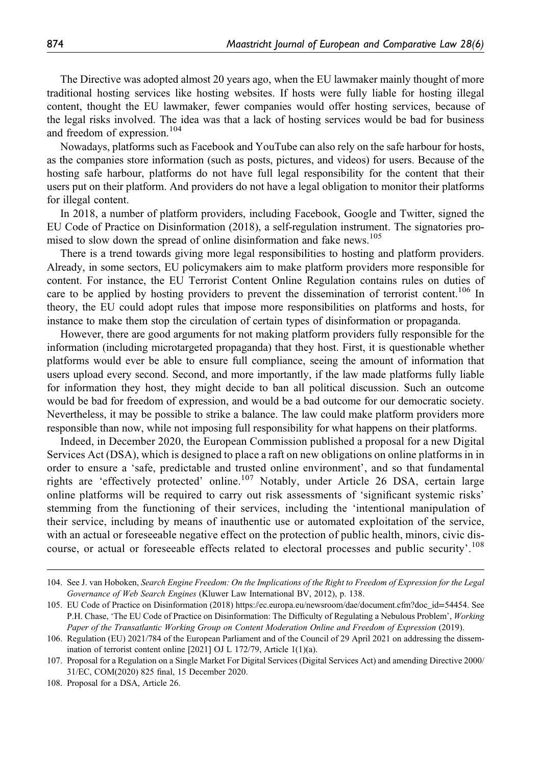The Directive was adopted almost 20 years ago, when the EU lawmaker mainly thought of more traditional hosting services like hosting websites. If hosts were fully liable for hosting illegal content, thought the EU lawmaker, fewer companies would offer hosting services, because of the legal risks involved. The idea was that a lack of hosting services would be bad for business and freedom of expression.<sup>104</sup>

Nowadays, platforms such as Facebook and YouTube can also rely on the safe harbour for hosts, as the companies store information (such as posts, pictures, and videos) for users. Because of the hosting safe harbour, platforms do not have full legal responsibility for the content that their users put on their platform. And providers do not have a legal obligation to monitor their platforms for illegal content.

In 2018, a number of platform providers, including Facebook, Google and Twitter, signed the EU Code of Practice on Disinformation (2018), a self-regulation instrument. The signatories promised to slow down the spread of online disinformation and fake news.<sup>105</sup>

There is a trend towards giving more legal responsibilities to hosting and platform providers. Already, in some sectors, EU policymakers aim to make platform providers more responsible for content. For instance, the EU Terrorist Content Online Regulation contains rules on duties of care to be applied by hosting providers to prevent the dissemination of terrorist content.<sup>106</sup> In theory, the EU could adopt rules that impose more responsibilities on platforms and hosts, for instance to make them stop the circulation of certain types of disinformation or propaganda.

However, there are good arguments for not making platform providers fully responsible for the information (including microtargeted propaganda) that they host. First, it is questionable whether platforms would ever be able to ensure full compliance, seeing the amount of information that users upload every second. Second, and more importantly, if the law made platforms fully liable for information they host, they might decide to ban all political discussion. Such an outcome would be bad for freedom of expression, and would be a bad outcome for our democratic society. Nevertheless, it may be possible to strike a balance. The law could make platform providers more responsible than now, while not imposing full responsibility for what happens on their platforms.

Indeed, in December 2020, the European Commission published a proposal for a new Digital Services Act (DSA), which is designed to place a raft on new obligations on online platforms in in order to ensure a 'safe, predictable and trusted online environment', and so that fundamental rights are 'effectively protected' online.<sup>107</sup> Notably, under Article 26 DSA, certain large online platforms will be required to carry out risk assessments of 'significant systemic risks' stemming from the functioning of their services, including the 'intentional manipulation of their service, including by means of inauthentic use or automated exploitation of the service, with an actual or foreseeable negative effect on the protection of public health, minors, civic discourse, or actual or foreseeable effects related to electoral processes and public security'. 108

<sup>104.</sup> See J. van Hoboken, Search Engine Freedom: On the Implications of the Right to Freedom of Expression for the Legal Governance of Web Search Engines (Kluwer Law International BV, 2012), p. 138.

<sup>105.</sup> EU Code of Practice on Disinformation (2018) [https://ec.europa.eu/newsroom/dae/document.cfm?doc\\_id](https://ec.europa.eu/newsroom/dae/document.cfm?doc_id=54454)=54454. See P.H. Chase, 'The EU Code of Practice on Disinformation: The Difficulty of Regulating a Nebulous Problem', Working Paper of the Transatlantic Working Group on Content Moderation Online and Freedom of Expression (2019).

<sup>106.</sup> Regulation (EU) 2021/784 of the European Parliament and of the Council of 29 April 2021 on addressing the dissemination of terrorist content online [2021] OJ L 172/79, Article 1(1)(a).

<sup>107.</sup> Proposal for a Regulation on a Single Market For Digital Services (Digital Services Act) and amending Directive 2000/ 31/EC, COM(2020) 825 final, 15 December 2020.

<sup>108.</sup> Proposal for a DSA, Article 26.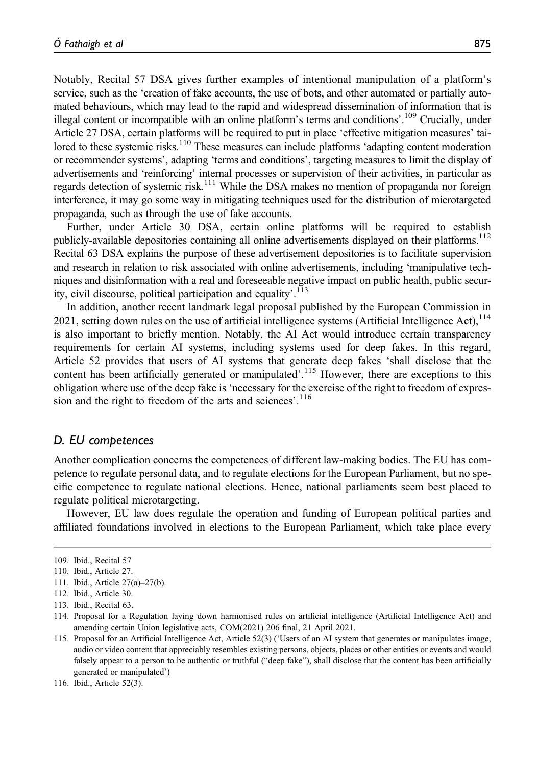Notably, Recital 57 DSA gives further examples of intentional manipulation of a platform's service, such as the 'creation of fake accounts, the use of bots, and other automated or partially automated behaviours, which may lead to the rapid and widespread dissemination of information that is illegal content or incompatible with an online platform's terms and conditions'.<sup>109</sup> Crucially, under Article 27 DSA, certain platforms will be required to put in place 'effective mitigation measures' tailored to these systemic risks.<sup>110</sup> These measures can include platforms 'adapting content moderation or recommender systems', adapting 'terms and conditions', targeting measures to limit the display of advertisements and 'reinforcing' internal processes or supervision of their activities, in particular as regards detection of systemic risk.<sup>111</sup> While the DSA makes no mention of propaganda nor foreign interference, it may go some way in mitigating techniques used for the distribution of microtargeted propaganda, such as through the use of fake accounts.

Further, under Article 30 DSA, certain online platforms will be required to establish publicly-available depositories containing all online advertisements displayed on their platforms.<sup>112</sup> Recital 63 DSA explains the purpose of these advertisement depositories is to facilitate supervision and research in relation to risk associated with online advertisements, including 'manipulative techniques and disinformation with a real and foreseeable negative impact on public health, public security, civil discourse, political participation and equality'.<sup>113</sup>

In addition, another recent landmark legal proposal published by the European Commission in 2021, setting down rules on the use of artificial intelligence systems (Artificial Intelligence Act), $114$ is also important to briefly mention. Notably, the AI Act would introduce certain transparency requirements for certain AI systems, including systems used for deep fakes. In this regard, Article 52 provides that users of AI systems that generate deep fakes 'shall disclose that the content has been artificially generated or manipulated'.<sup>115</sup> However, there are exceptions to this obligation where use of the deep fake is 'necessary for the exercise of the right to freedom of expression and the right to freedom of the arts and sciences'. 116

#### D. EU competences

Another complication concerns the competences of different law-making bodies. The EU has competence to regulate personal data, and to regulate elections for the European Parliament, but no specific competence to regulate national elections. Hence, national parliaments seem best placed to regulate political microtargeting.

However, EU law does regulate the operation and funding of European political parties and affiliated foundations involved in elections to the European Parliament, which take place every

<sup>109.</sup> Ibid., Recital 57

<sup>110.</sup> Ibid., Article 27.

<sup>111.</sup> Ibid., Article 27(a)–27(b).

<sup>112.</sup> Ibid., Article 30.

<sup>113.</sup> Ibid., Recital 63.

<sup>114.</sup> Proposal for a Regulation laying down harmonised rules on artificial intelligence (Artificial Intelligence Act) and amending certain Union legislative acts, COM(2021) 206 final, 21 April 2021.

<sup>115.</sup> Proposal for an Artificial Intelligence Act, Article 52(3) ('Users of an AI system that generates or manipulates image, audio or video content that appreciably resembles existing persons, objects, places or other entities or events and would falsely appear to a person to be authentic or truthful ("deep fake"), shall disclose that the content has been artificially generated or manipulated')

<sup>116.</sup> Ibid., Article 52(3).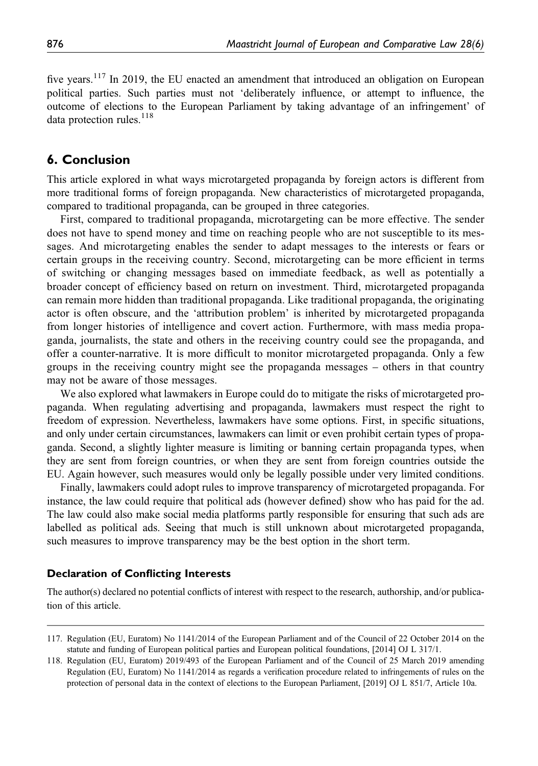five vears.<sup>117</sup> In 2019, the EU enacted an amendment that introduced an obligation on European political parties. Such parties must not 'deliberately influence, or attempt to influence, the outcome of elections to the European Parliament by taking advantage of an infringement' of data protection rules. $^{118}$ 

## 6. Conclusion

This article explored in what ways microtargeted propaganda by foreign actors is different from more traditional forms of foreign propaganda. New characteristics of microtargeted propaganda, compared to traditional propaganda, can be grouped in three categories.

First, compared to traditional propaganda, microtargeting can be more effective. The sender does not have to spend money and time on reaching people who are not susceptible to its messages. And microtargeting enables the sender to adapt messages to the interests or fears or certain groups in the receiving country. Second, microtargeting can be more efficient in terms of switching or changing messages based on immediate feedback, as well as potentially a broader concept of efficiency based on return on investment. Third, microtargeted propaganda can remain more hidden than traditional propaganda. Like traditional propaganda, the originating actor is often obscure, and the 'attribution problem' is inherited by microtargeted propaganda from longer histories of intelligence and covert action. Furthermore, with mass media propaganda, journalists, the state and others in the receiving country could see the propaganda, and offer a counter-narrative. It is more difficult to monitor microtargeted propaganda. Only a few groups in the receiving country might see the propaganda messages – others in that country may not be aware of those messages.

We also explored what lawmakers in Europe could do to mitigate the risks of microtargeted propaganda. When regulating advertising and propaganda, lawmakers must respect the right to freedom of expression. Nevertheless, lawmakers have some options. First, in specific situations, and only under certain circumstances, lawmakers can limit or even prohibit certain types of propaganda. Second, a slightly lighter measure is limiting or banning certain propaganda types, when they are sent from foreign countries, or when they are sent from foreign countries outside the EU. Again however, such measures would only be legally possible under very limited conditions.

Finally, lawmakers could adopt rules to improve transparency of microtargeted propaganda. For instance, the law could require that political ads (however defined) show who has paid for the ad. The law could also make social media platforms partly responsible for ensuring that such ads are labelled as political ads. Seeing that much is still unknown about microtargeted propaganda, such measures to improve transparency may be the best option in the short term.

#### Declaration of Conflicting Interests

The author(s) declared no potential conflicts of interest with respect to the research, authorship, and/or publication of this article.

<sup>117.</sup> Regulation (EU, Euratom) No 1141/2014 of the European Parliament and of the Council of 22 October 2014 on the statute and funding of European political parties and European political foundations, [2014] OJ L 317/1.

<sup>118.</sup> Regulation (EU, Euratom) 2019/493 of the European Parliament and of the Council of 25 March 2019 amending Regulation (EU, Euratom) No 1141/2014 as regards a verification procedure related to infringements of rules on the protection of personal data in the context of elections to the European Parliament, [2019] OJ L 851/7, Article 10a.